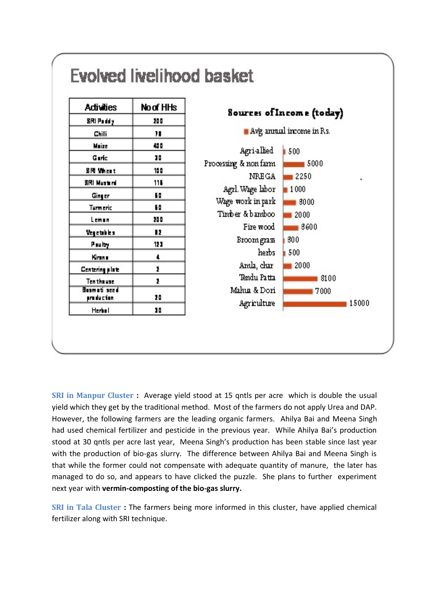

**SRI in Manpur Cluster :** Average yield stood at 15 qntls per acre which is double the usual yield which they get by the traditional method. Most of the farmers do not apply Urea and DAP. However, the following farmers are the leading organic farmers. Ahilya Bai and Meena Singh had used chemical fertilizer and pesticide in the previous year. While Ahilya Bai's production stood at 30 qntls per acre last year, Meena Singh's production has been stable since last year with the production of bio-gas slurry. The difference between Ahilya Bai and Meena Singh is that while the former could not compensate with adequate quantity of manure, the later has managed to do so, and appears to have clicked the puzzle. She plans to further experiment next year with **vermin-composting of the bio-gas slurry.** 

**SRI in Tala Cluster :** The farmers being more informed in this cluster, have applied chemical fertilizer along with SRI technique.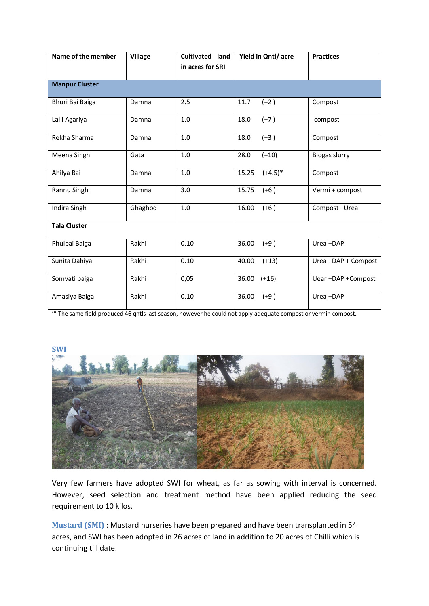| Name of the member    | <b>Village</b> | Cultivated land<br>in acres for SRI | Yield in Qntl/ acre | <b>Practices</b>     |
|-----------------------|----------------|-------------------------------------|---------------------|----------------------|
| <b>Manpur Cluster</b> |                |                                     |                     |                      |
| Bhuri Bai Baiga       | Damna          | 2.5                                 | 11.7<br>$(+2)$      | Compost              |
| Lalli Agariya         | Damna          | 1.0                                 | $(+7)$<br>18.0      | compost              |
| Rekha Sharma          | Damna          | 1.0                                 | $(+3)$<br>18.0      | Compost              |
| Meena Singh           | Gata           | 1.0                                 | 28.0<br>$(+10)$     | <b>Biogas slurry</b> |
| Ahilya Bai            | Damna          | 1.0                                 | $(+4.5)$ *<br>15.25 | Compost              |
| Rannu Singh           | Damna          | 3.0                                 | 15.75<br>$(+6)$     | Vermi + compost      |
| Indira Singh          | Ghaghod        | 1.0                                 | 16.00<br>$(+6)$     | Compost +Urea        |
| <b>Tala Cluster</b>   |                |                                     |                     |                      |
| Phulbai Baiga         | Rakhi          | 0.10                                | 36.00<br>$(+9)$     | Urea +DAP            |
| Sunita Dahiya         | Rakhi          | 0.10                                | 40.00<br>$(+13)$    | Urea +DAP + Compost  |
| Somvati baiga         | Rakhi          | 0,05                                | $36.00$ $(+16)$     | Uear +DAP +Compost   |
| Amasiya Baiga         | Rakhi          | 0.10                                | 36.00<br>$(+9)$     | Urea +DAP            |

'\* The same field produced 46 qntls last season, however he could not apply adequate compost or vermin compost.



Very few farmers have adopted SWI for wheat, as far as sowing with interval is concerned. However, seed selection and treatment method have been applied reducing the seed requirement to 10 kilos.

**Mustard (SMI)** : Mustard nurseries have been prepared and have been transplanted in 54 acres, and SWI has been adopted in 26 acres of land in addition to 20 acres of Chilli which is continuing till date.